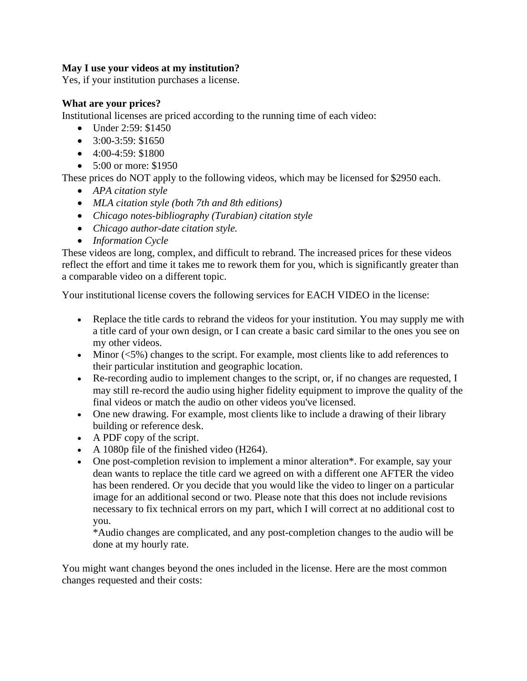### **May I use your videos at my institution?**

Yes, if your institution purchases a license.

#### **What are your prices?**

Institutional licenses are priced according to the running time of each video:

- Under 2:59: \$1450
- $\bullet$  3:00-3:59: \$1650
- $\bullet$  4:00-4:59: \$1800
- 5:00 or more: \$1950

These prices do NOT apply to the following videos, which may be licensed for \$2950 each.

- *APA citation style*
- *MLA citation style (both 7th and 8th editions)*
- *Chicago notes-bibliography (Turabian) citation style*
- *Chicago author-date citation style.*
- *Information Cycle*

These videos are long, complex, and difficult to rebrand. The increased prices for these videos reflect the effort and time it takes me to rework them for you, which is significantly greater than a comparable video on a different topic.

Your institutional license covers the following services for EACH VIDEO in the license:

- Replace the title cards to rebrand the videos for your institution. You may supply me with a title card of your own design, or I can create a basic card similar to the ones you see on my other videos.
- Minor  $\langle 5\% \rangle$  changes to the script. For example, most clients like to add references to their particular institution and geographic location.
- Re-recording audio to implement changes to the script, or, if no changes are requested, I may still re-record the audio using higher fidelity equipment to improve the quality of the final videos or match the audio on other videos you've licensed.
- One new drawing. For example, most clients like to include a drawing of their library building or reference desk.
- A PDF copy of the script.
- A 1080p file of the finished video (H264).
- One post-completion revision to implement a minor alteration\*. For example, say your dean wants to replace the title card we agreed on with a different one AFTER the video has been rendered. Or you decide that you would like the video to linger on a particular image for an additional second or two. Please note that this does not include revisions necessary to fix technical errors on my part, which I will correct at no additional cost to you.

\*Audio changes are complicated, and any post-completion changes to the audio will be done at my hourly rate.

You might want changes beyond the ones included in the license. Here are the most common changes requested and their costs: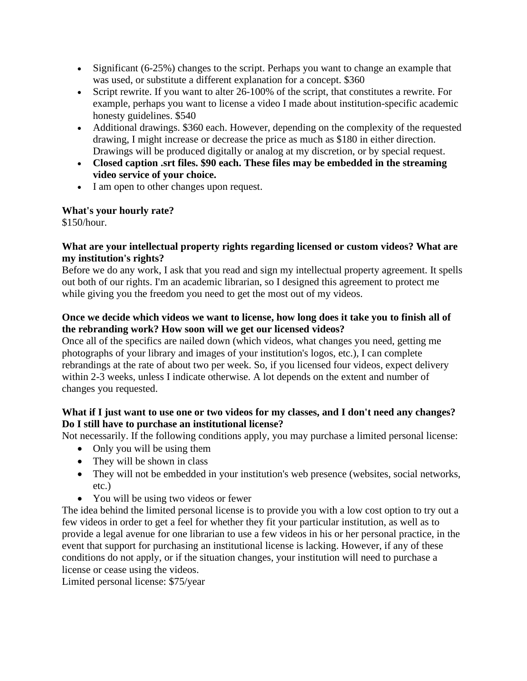- Significant (6-25%) changes to the script. Perhaps you want to change an example that was used, or substitute a different explanation for a concept. \$360
- Script rewrite. If you want to alter 26-100% of the script, that constitutes a rewrite. For example, perhaps you want to license a video I made about institution-specific academic honesty guidelines. \$540
- Additional drawings. \$360 each. However, depending on the complexity of the requested drawing, I might increase or decrease the price as much as \$180 in either direction. Drawings will be produced digitally or analog at my discretion, or by special request.
- **Closed caption .srt files. \$90 each. These files may be embedded in the streaming video service of your choice.**
- I am open to other changes upon request.

## **What's your hourly rate?**

\$150/hour.

## **What are your intellectual property rights regarding licensed or custom videos? What are my institution's rights?**

Before we do any work, I ask that you read and sign my intellectual property agreement. It spells out both of our rights. I'm an academic librarian, so I designed this agreement to protect me while giving you the freedom you need to get the most out of my videos.

# **Once we decide which videos we want to license, how long does it take you to finish all of the rebranding work? How soon will we get our licensed videos?**

Once all of the specifics are nailed down (which videos, what changes you need, getting me photographs of your library and images of your institution's logos, etc.), I can complete rebrandings at the rate of about two per week. So, if you licensed four videos, expect delivery within 2-3 weeks, unless I indicate otherwise. A lot depends on the extent and number of changes you requested.

## **What if I just want to use one or two videos for my classes, and I don't need any changes? Do I still have to purchase an institutional license?**

Not necessarily. If the following conditions apply, you may purchase a limited personal license:

- Only you will be using them
- They will be shown in class
- They will not be embedded in your institution's web presence (websites, social networks, etc.)
- You will be using two videos or fewer

The idea behind the limited personal license is to provide you with a low cost option to try out a few videos in order to get a feel for whether they fit your particular institution, as well as to provide a legal avenue for one librarian to use a few videos in his or her personal practice, in the event that support for purchasing an institutional license is lacking. However, if any of these conditions do not apply, or if the situation changes, your institution will need to purchase a license or cease using the videos.

Limited personal license: \$75/year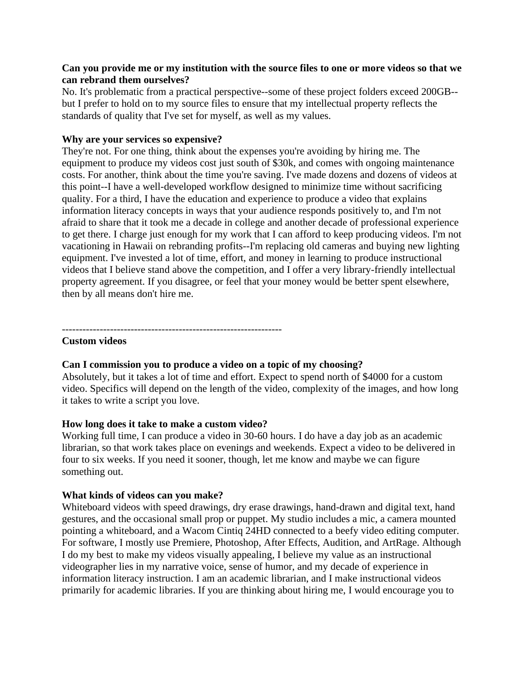#### **Can you provide me or my institution with the source files to one or more videos so that we can rebrand them ourselves?**

No. It's problematic from a practical perspective--some of these project folders exceed 200GB- but I prefer to hold on to my source files to ensure that my intellectual property reflects the standards of quality that I've set for myself, as well as my values.

#### **Why are your services so expensive?**

They're not. For one thing, think about the expenses you're avoiding by hiring me. The equipment to produce my videos cost just south of \$30k, and comes with ongoing maintenance costs. For another, think about the time you're saving. I've made dozens and dozens of videos at this point--I have a well-developed workflow designed to minimize time without sacrificing quality. For a third, I have the education and experience to produce a video that explains information literacy concepts in ways that your audience responds positively to, and I'm not afraid to share that it took me a decade in college and another decade of professional experience to get there. I charge just enough for my work that I can afford to keep producing videos. I'm not vacationing in Hawaii on rebranding profits--I'm replacing old cameras and buying new lighting equipment. I've invested a lot of time, effort, and money in learning to produce instructional videos that I believe stand above the competition, and I offer a very library-friendly intellectual property agreement. If you disagree, or feel that your money would be better spent elsewhere, then by all means don't hire me.

----------------------------------------------------------------

#### **Custom videos**

## **Can I commission you to produce a video on a topic of my choosing?**

Absolutely, but it takes a lot of time and effort. Expect to spend north of \$4000 for a custom video. Specifics will depend on the length of the video, complexity of the images, and how long it takes to write a script you love.

#### **How long does it take to make a custom video?**

Working full time, I can produce a video in 30-60 hours. I do have a day job as an academic librarian, so that work takes place on evenings and weekends. Expect a video to be delivered in four to six weeks. If you need it sooner, though, let me know and maybe we can figure something out.

#### **What kinds of videos can you make?**

Whiteboard videos with speed drawings, dry erase drawings, hand-drawn and digital text, hand gestures, and the occasional small prop or puppet. My studio includes a mic, a camera mounted pointing a whiteboard, and a Wacom Cintiq 24HD connected to a beefy video editing computer. For software, I mostly use Premiere, Photoshop, After Effects, Audition, and ArtRage. Although I do my best to make my videos visually appealing, I believe my value as an instructional videographer lies in my narrative voice, sense of humor, and my decade of experience in information literacy instruction. I am an academic librarian, and I make instructional videos primarily for academic libraries. If you are thinking about hiring me, I would encourage you to